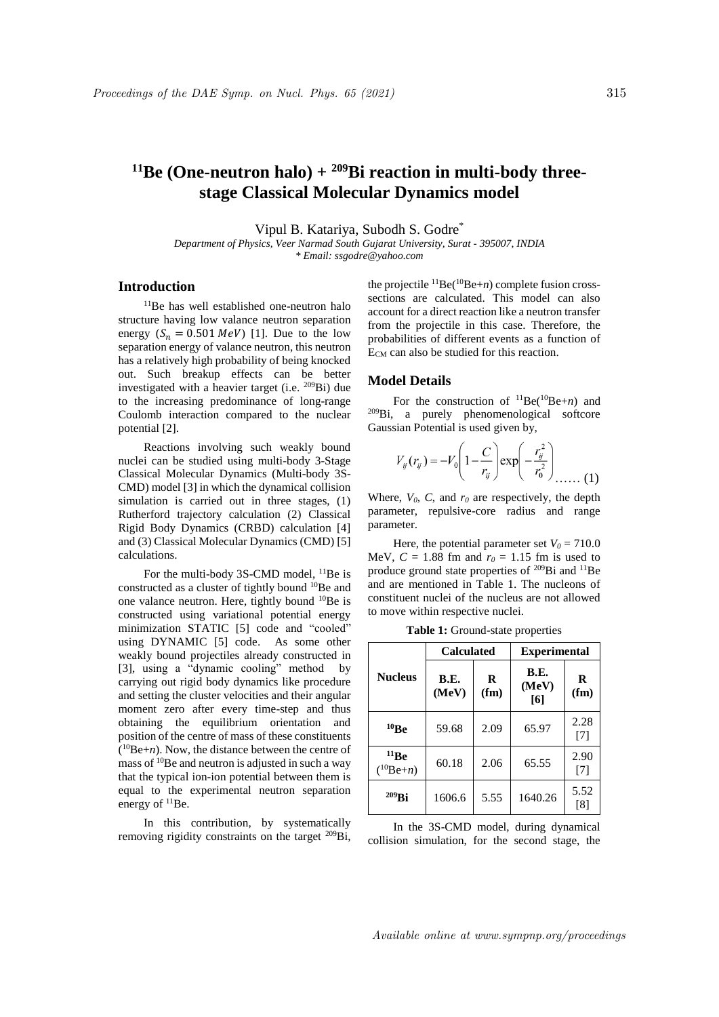# <sup>11</sup>Be (One-neutron halo) +  $209$ Bi reaction in multi-body three**stage Classical Molecular Dynamics model**

Vipul B. Katariya, Subodh S. Godre\*

*Department of Physics, Veer Narmad South Gujarat University, Surat - 395007, INDIA \* Email: ssgodre@yahoo.com*

## **Introduction**

<sup>11</sup>Be has well established one-neutron halo structure having low valance neutron separation energy  $(S_n = 0.501 \text{ MeV})$  [1]. Due to the low separation energy of valance neutron, this neutron has a relatively high probability of being knocked out. Such breakup effects can be better investigated with a heavier target (i.e. <sup>209</sup>Bi) due to the increasing predominance of long-range Coulomb interaction compared to the nuclear potential [2].

Reactions involving such weakly bound nuclei can be studied using multi-body 3-Stage Classical Molecular Dynamics (Multi-body 3S-CMD) model [3] in which the dynamical collision simulation is carried out in three stages, (1) Rutherford trajectory calculation (2) Classical Rigid Body Dynamics (CRBD) calculation [4] and (3) Classical Molecular Dynamics (CMD) [5] calculations.

For the multi-body 3S-CMD model, <sup>11</sup>Be is constructed as a cluster of tightly bound <sup>10</sup>Be and one valance neutron. Here, tightly bound <sup>10</sup>Be is constructed using variational potential energy minimization STATIC [5] code and "cooled" using DYNAMIC [5] code. As some other weakly bound projectiles already constructed in [3], using a "dynamic cooling" method by carrying out rigid body dynamics like procedure and setting the cluster velocities and their angular moment zero after every time-step and thus obtaining the equilibrium orientation and position of the centre of mass of these constituents ( <sup>10</sup>Be+*n*). Now, the distance between the centre of mass of <sup>10</sup>Be and neutron is adjusted in such a way that the typical ion-ion potential between them is equal to the experimental neutron separation energy of <sup>11</sup>Be.

In this contribution, by systematically removing rigidity constraints on the target <sup>209</sup>Bi,

the projectile  ${}^{11}$ Be( ${}^{10}$ Be+*n*) complete fusion crosssections are calculated. This model can also account for a direct reaction like a neutron transfer from the projectile in this case. Therefore, the probabilities of different events as a function of E<sub>CM</sub> can also be studied for this reaction.

#### **Model Details**

For the construction of  ${}^{11}Be({}^{10}Be+n)$  and <sup>209</sup>Bi, a purely phenomenological softcore Gaussian Potential is used given by,

$$
V_{ij}(r_{ij}) = -V_0 \left(1 - \frac{C}{r_{ij}}\right) \exp\left(-\frac{r_{ij}^2}{r_0^2}\right) \dots \dots (1)
$$

Where,  $V_0$ ,  $C$ , and  $r_0$  are respectively, the depth parameter, repulsive-core radius and range parameter.

Here, the potential parameter set  $V_0 = 710.0$ MeV,  $C = 1.88$  fm and  $r_0 = 1.15$  fm is used to produce ground state properties of  $^{209}$ Bi and  $^{11}$ Be and are mentioned in Table 1. The nucleons of constituent nuclei of the nucleus are not allowed to move within respective nuclei.

|                       | <b>Calculated</b> |           | <b>Experimental</b>  |                           |
|-----------------------|-------------------|-----------|----------------------|---------------------------|
| <b>Nucleus</b>        | B.E.<br>(MeV)     | R<br>(fm) | B.E.<br>(MeV)<br>[6] | R<br>(f <sub>m</sub> )    |
| 10Be                  | 59.68             | 2.09      | 65.97                | 2.28<br>[7]               |
| 11Be<br>$(^{10}Be+n)$ | 60.18             | 2.06      | 65.55                | 2.90<br>$\lceil 7 \rceil$ |
| $209$ Bi              | 1606.6            | 5.55      | 1640.26              | 5.52<br>[8]               |

**Table 1:** Ground-state properties

In the 3S-CMD model, during dynamical collision simulation, for the second stage, the